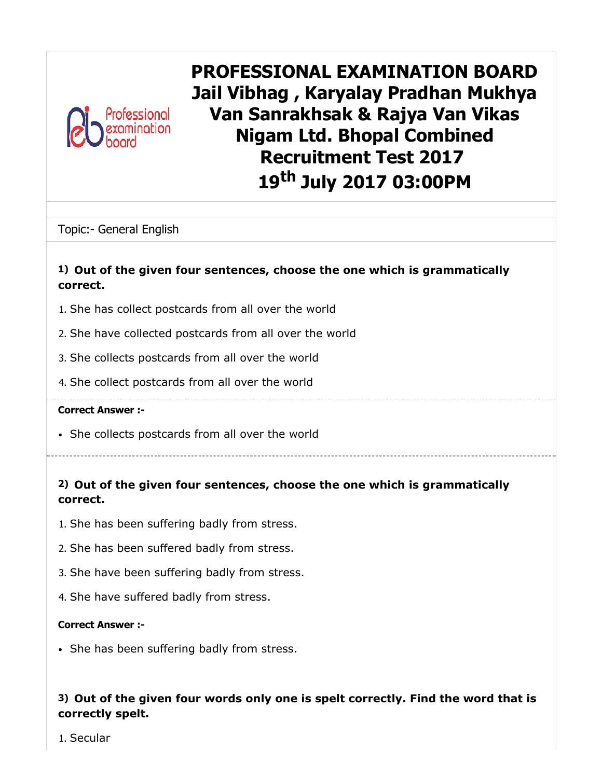

PROFESSIONAL EXAMINATION BOARD Jail Vibhag , Karyalay Pradhan Mukhya Van Sanrakhsak & Rajya Van Vikas Nigam Ltd. Bhopal Combined Recruitment Test 2017 19<sup>th</sup> July 2017 03:00PM

Topic:- General English

#### 1) Out of the given four sentences, choose the one which is grammatically correct.

- 1. She has collect postcards from all over the world
- 2. She have collected postcards from all over the world
- 3. She collects postcards from all over the world
- 4. She collect postcards from all over the world

#### Correct Answer :-

She collects postcards from all over the world

# 2) Out of the given four sentences, choose the one which is grammatically correct.

- 1. She has been suffering badly from stress.
- 2. She has been suffered badly from stress.
- 3. She have been suffering badly from stress.
- 4. She have suffered badly from stress.

#### Correct Answer :-

• She has been suffering badly from stress.

## 3) Out of the given four words only one is spelt correctly. Find the word that is correctly spelt.

1. Secular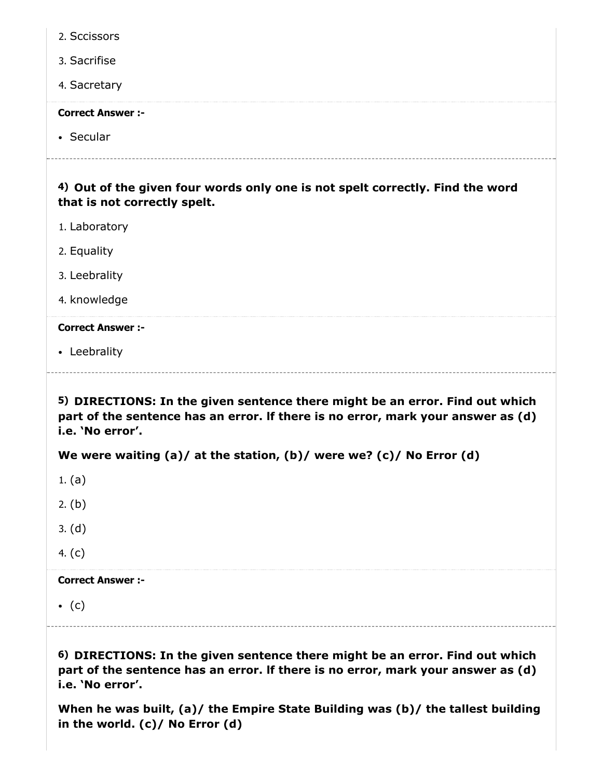| 2. Sccissors                                                                                                                                                                         |
|--------------------------------------------------------------------------------------------------------------------------------------------------------------------------------------|
| 3. Sacrifise                                                                                                                                                                         |
| 4. Sacretary                                                                                                                                                                         |
| <b>Correct Answer :-</b>                                                                                                                                                             |
| • Secular                                                                                                                                                                            |
| 4) Out of the given four words only one is not spelt correctly. Find the word<br>that is not correctly spelt.                                                                        |
| 1. Laboratory                                                                                                                                                                        |
| 2. Equality                                                                                                                                                                          |
| 3. Leebrality                                                                                                                                                                        |
| 4. knowledge                                                                                                                                                                         |
| <b>Correct Answer :-</b>                                                                                                                                                             |
| • Leebrality                                                                                                                                                                         |
|                                                                                                                                                                                      |
| 5) DIRECTIONS: In the given sentence there might be an error. Find out which<br>part of the sentence has an error. If there is no error, mark your answer as (d)<br>i.e. 'No error'. |
| We were waiting (a)/ at the station, (b)/ were we? (c)/ No Error (d)                                                                                                                 |
| 1. (a)                                                                                                                                                                               |
| 2. $(b)$                                                                                                                                                                             |
| 3. (d)                                                                                                                                                                               |
| 4. $(c)$                                                                                                                                                                             |
| <b>Correct Answer :-</b>                                                                                                                                                             |
| $\bullet$ (c)                                                                                                                                                                        |

i.e. 'No error'. When he was built, (a)/ the Empire State Building was (b)/ the tallest building in the world. (c)/ No Error (d)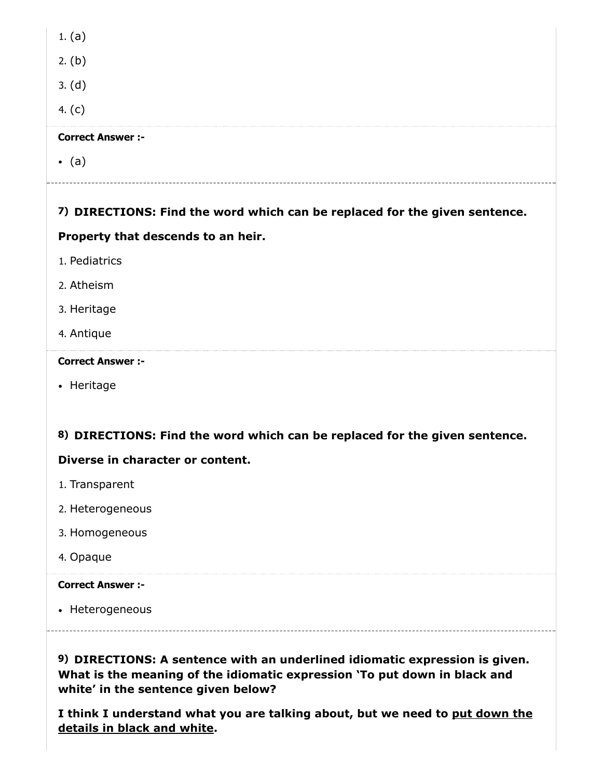| <b>Correct Answer :-</b> |
|--------------------------|
| 4. $(c)$                 |
| 3. (d)                   |
| 2. (b)                   |
| 1. $(a)$                 |

 $\bullet$  (a)

# 7) DIRECTIONS: Find the word which can be replaced for the given sentence.

### Property that descends to an heir.

- 1. Pediatrics
- 2. Atheism
- 3. Heritage
- 4. Antique

#### Correct Answer :-

• Heritage

## 8) DIRECTIONS: Find the word which can be replaced for the given sentence.

## Diverse in character or content.

- 1. Transparent
- 2. Heterogeneous
- 3. Homogeneous
- 4. Opaque

## Correct Answer :-

• Heterogeneous

9) DIRECTIONS: A sentence with an underlined idiomatic expression is given. What is the meaning of the idiomatic expression 'To put down in black and white' in the sentence given below?

I think I understand what you are talking about, but we need to put down the details in black and white.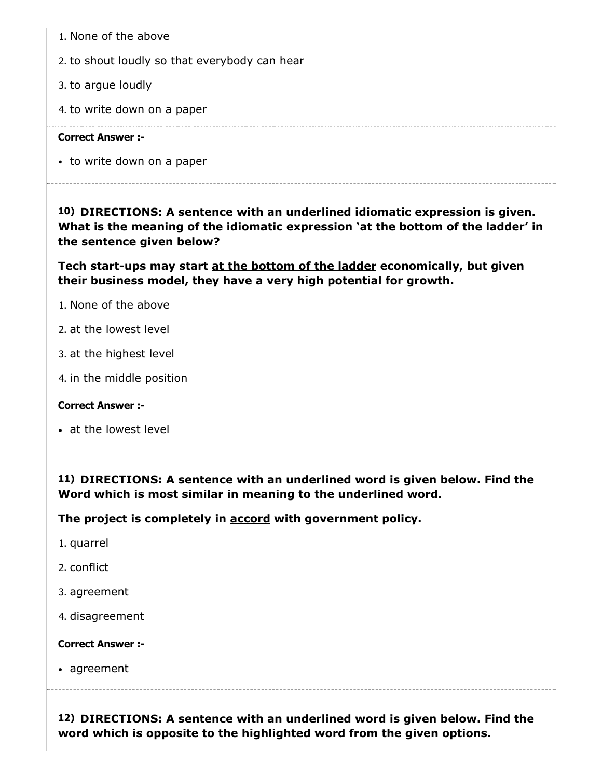- 1. None of the above
- 2. to shout loudly so that everybody can hear
- 3. to argue loudly
- 4. to write down on a paper

• to write down on a paper

10) DIRECTIONS: A sentence with an underlined idiomatic expression is given. What is the meaning of the idiomatic expression 'at the bottom of the ladder' in the sentence given below?

Tech start-ups may start at the bottom of the ladder economically, but given their business model, they have a very high potential for growth.

- 1. None of the above
- 2. at the lowest level
- 3. at the highest level
- 4. in the middle position

#### Correct Answer :-

at the lowest level

11) DIRECTIONS: A sentence with an underlined word is given below. Find the Word which is most similar in meaning to the underlined word.

The project is completely in accord with government policy.

- 1. quarrel
- 2. conflict
- 3. agreement
- 4. disagreement

#### Correct Answer :-

agreement

12) DIRECTIONS: A sentence with an underlined word is given below. Find the word which is opposite to the highlighted word from the given options.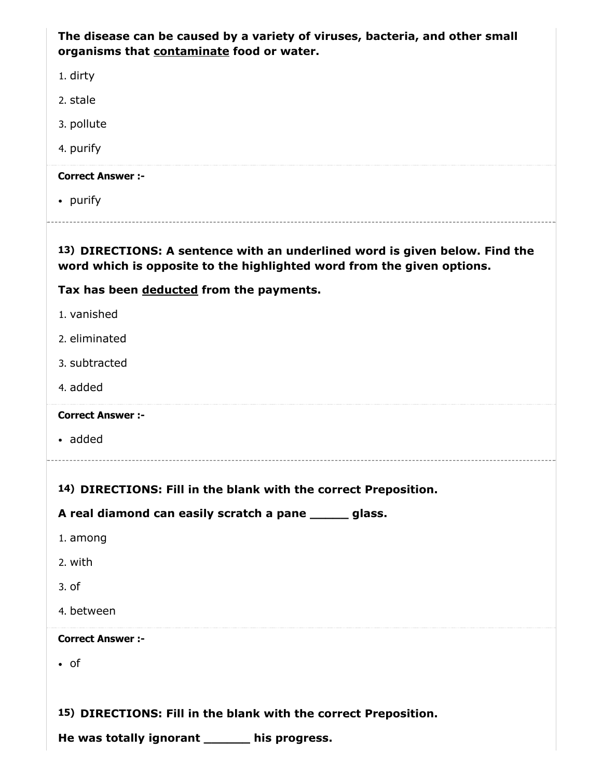The disease can be caused by a variety of viruses, bacteria, and other small organisms that contaminate food or water.

1. dirty

2. stale

3. pollute

4. purify

#### Correct Answer :-

• purify

13) DIRECTIONS: A sentence with an underlined word is given below. Find the

word which is opposite to the highlighted word from the given options.

# Tax has been deducted from the payments.

- 1. vanished
- 2. eliminated
- 3. subtracted
- 4. added

Correct Answer :-

added

## 14) DIRECTIONS: Fill in the blank with the correct Preposition.

## A real diamond can easily scratch a pane \_\_\_\_\_ glass.

- 1. among
- 2. with
- 3. of
- 4. between

#### Correct Answer :-

• of

15) DIRECTIONS: Fill in the blank with the correct Preposition.

He was totally ignorant \_\_\_\_\_\_ his progress.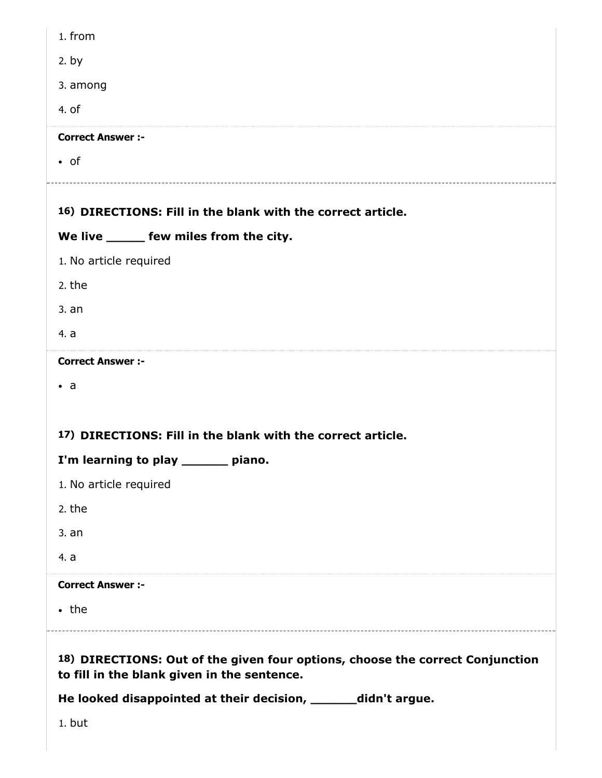| 1. from                                                                                                                      |
|------------------------------------------------------------------------------------------------------------------------------|
| $2.$ by                                                                                                                      |
| 3. among                                                                                                                     |
| 4. of                                                                                                                        |
| <b>Correct Answer :-</b>                                                                                                     |
| $\bullet$ of                                                                                                                 |
| 16) DIRECTIONS: Fill in the blank with the correct article.                                                                  |
| We live ______ few miles from the city.                                                                                      |
| 1. No article required                                                                                                       |
| 2. the                                                                                                                       |
| 3. an                                                                                                                        |
| 4. a                                                                                                                         |
| <b>Correct Answer :-</b>                                                                                                     |
| • а                                                                                                                          |
|                                                                                                                              |
| 17) DIRECTIONS: Fill in the blank with the correct article.                                                                  |
| I'm learning to play ______ piano.                                                                                           |
| 1. No article required                                                                                                       |
| 2. the                                                                                                                       |
| 3. an                                                                                                                        |
| 4. a                                                                                                                         |
| <b>Correct Answer :-</b>                                                                                                     |
| $\cdot$ the                                                                                                                  |
| 18) DIRECTIONS: Out of the given four options, choose the correct Conjunction<br>to fill in the blank given in the sentence. |
| He looked disappointed at their decision, ______didn't argue.                                                                |
| 1. but                                                                                                                       |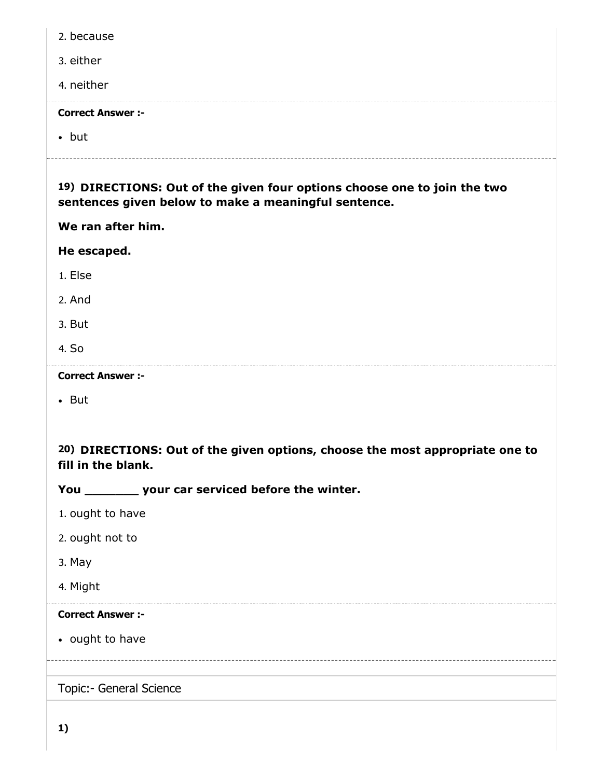| 2. because                                                                                                                       |
|----------------------------------------------------------------------------------------------------------------------------------|
| 3. either                                                                                                                        |
| 4. neither                                                                                                                       |
| <b>Correct Answer :-</b>                                                                                                         |
| $\bullet$ but                                                                                                                    |
| 19) DIRECTIONS: Out of the given four options choose one to join the two<br>sentences given below to make a meaningful sentence. |
| We ran after him.                                                                                                                |
| He escaped.                                                                                                                      |
| 1. Else                                                                                                                          |
| 2. And                                                                                                                           |
| 3. But                                                                                                                           |
| 4. So                                                                                                                            |
| <b>Correct Answer :-</b>                                                                                                         |
| $\bullet$ But                                                                                                                    |
|                                                                                                                                  |
| 20) DIRECTIONS: Out of the given options, choose the most appropriate one to<br>fill in the blank.                               |
| You ___________ your car serviced before the winter.                                                                             |
|                                                                                                                                  |
| 1. ought to have                                                                                                                 |
| 2. ought not to                                                                                                                  |
| 3. May                                                                                                                           |
| 4. Might                                                                                                                         |
| <b>Correct Answer :-</b>                                                                                                         |
| • ought to have                                                                                                                  |
|                                                                                                                                  |
| Topic:- General Science                                                                                                          |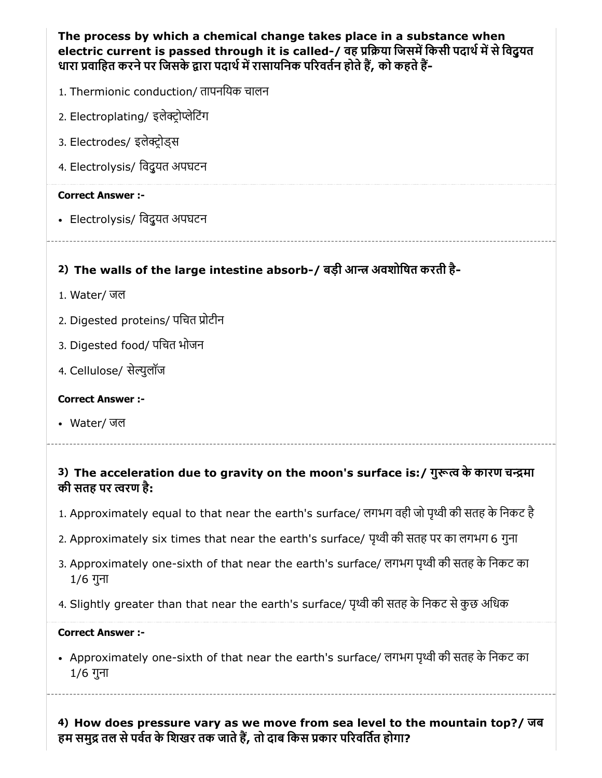| The process by which a chemical change takes place in a substance when<br>electric current is passed through it is called-/ वह प्रक्रिया जिसमें किसी पदार्थ में से विद्र्यत<br>धारा प्रवाहित करने पर जिसके द्वारा पदार्थ में रासायनिक परिवर्तन होते हैं, को कहते हैं- |
|-----------------------------------------------------------------------------------------------------------------------------------------------------------------------------------------------------------------------------------------------------------------------|
| 1. Thermionic conduction/ तापनयिक चालन                                                                                                                                                                                                                                |
| 2. Electroplating/ इलेक्ट्रोप्लेटिंग                                                                                                                                                                                                                                  |
| 3. Electrodes/ इलेक्ट्रोड्स                                                                                                                                                                                                                                           |
| 4. Electrolysis/ विदुयत अपघटन                                                                                                                                                                                                                                         |
| <b>Correct Answer:-</b>                                                                                                                                                                                                                                               |
| • Electrolysis/ विदुयत अपघटन                                                                                                                                                                                                                                          |
|                                                                                                                                                                                                                                                                       |
| 2) The walls of the large intestine absorb-/ बड़ी आन्त्र अवशोषित करती है-                                                                                                                                                                                             |
|                                                                                                                                                                                                                                                                       |
| 1. Water/ जल                                                                                                                                                                                                                                                          |
| 2. Digested proteins/ पचित प्रोटीन                                                                                                                                                                                                                                    |
| 3. Digested food/ पचित भोजन                                                                                                                                                                                                                                           |
| 4. Cellulose/ सेल्युलॉज                                                                                                                                                                                                                                               |
| <b>Correct Answer :-</b>                                                                                                                                                                                                                                              |
| • Water/ जल                                                                                                                                                                                                                                                           |

## 3) The acceleration due to gravity on the moon's surface is:/ गुरूत्व के कारण चन्द्रमा की सतह पर रण है:

- 1. Approximately equal to that near the earth's surface/ लगभग वही जो पृथ्वी की सतह के निकट है
- 2. Approximately six times that near the earth's surface/ पृथ्वी की सतह पर का लगभग 6 गुना
- 3. Approximately one-sixth of that near the earth's surface/ लगभग पृथ्वी की सतह के निकट का 1/6 गुना
- 4. Slightly greater than that near the earth's surface/ पृथ्वी की सतह के निकट से कुछ अधिक

#### Correct Answer :-

• Approximately one-sixth of that near the earth's surface/ लगभग पृथ्वी की सतह के निकट का 1/6 गुना

4) How does pressure vary as we move from sea level to the mountain top?/ जब हम समुद्र तल से पर्वत के शिखर तक जाते हैं, तो दाब किस प्रकार परिवर्तित होगा?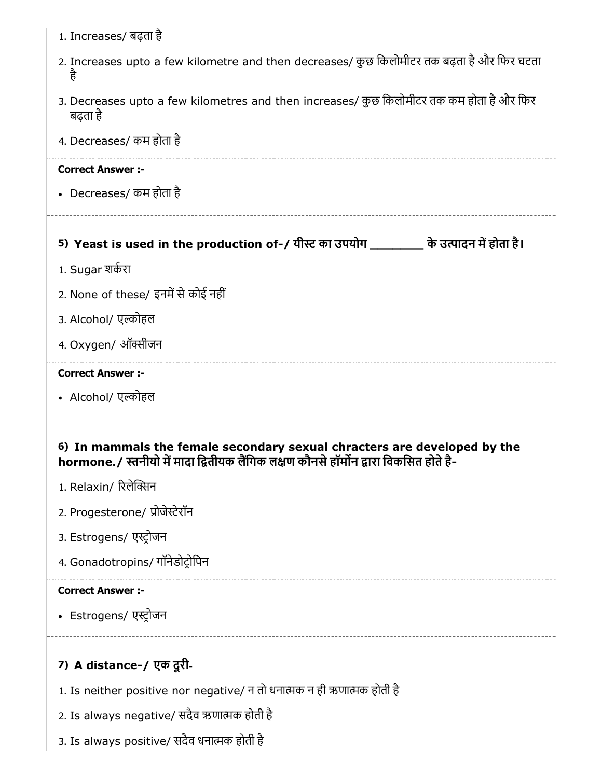- 1. Increases/ बढ़ता है
- 2. Increases upto a few kilometre and then decreases/ कुछ िकलोमीटर तक बढ़ता हैऔर िफर घटता है
- 3. Decreases upto a few kilometres and then increases/ कुछ किलोमीटर तक कम होता है और फिर बढ़ता है
- 4. Decreases/ कम होता है

• Decreases/ कम होता है

# 5) Yeast is used in the production of-/ यीस्ट का उपयोग \_\_\_\_\_\_\_\_\_\_ के उत्पादन में होता है।

- 1. Sugar शकरा
- 2. None of these/ इनमें से कोई नहीं
- 3. Alcohol/ एल्कोहल
- 4. Oxygen/ ऑक्सीजन

#### Correct Answer :-

• Alcohol/ एल्कोहल

## 6) In mammals the female secondary sexual chracters are developed by the hormone. / स्तनीयो में मादा द्वितीयक लैंगिक लक्षण कौनसे हॉर्मोन द्वारा विकसित होते है-

- 1. Relaxin/ रलेन
- 2. Progesterone/ प्रोजेस्टेरॉन
- 3. Estrogens/ एस्ट्रोजन
- 4. Gonadotropins/ गॉनेडोटोिपन

## Correct Answer :-

• Estrogens/ एस्ट्रोजन

# 7) A distance-/ एक दूरी-

- 1. Is neither positive nor negative/ न तो धनात्मक न ही ऋणात्मक होती है
- 2. Is always negative/ सदैव ऋणाक होती है
- 3. Is always positive/ सदैव धनाक होती है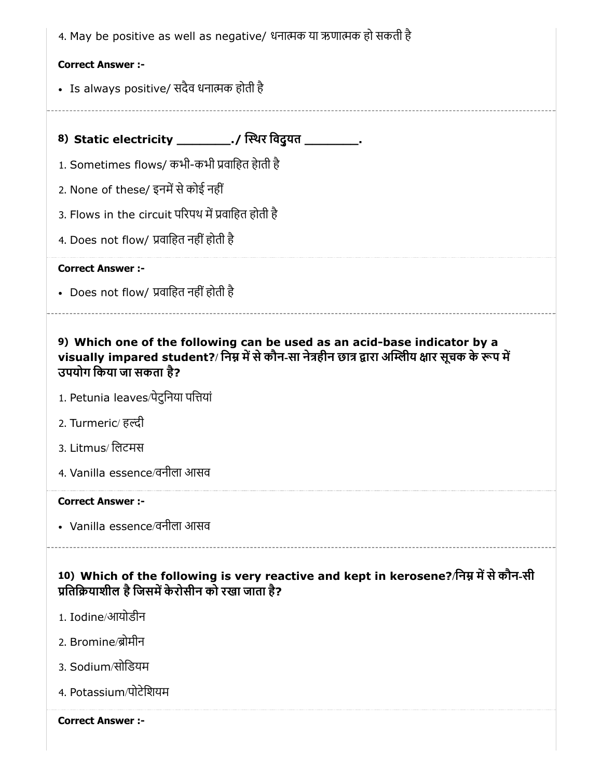4. May be positive as well as negative/ धनात्मक या ऋणात्मक हो सकती है

#### Correct Answer :-

• Is always positive/ सदैव धनात्मक होती है

8) Static electricity \_\_\_\_\_\_\_\_\_\_\_./ स्थिर विदुयत \_\_\_\_\_\_\_\_\_\_\_.

1. Sometimes flows/ कभी-कभी वािहत हेाती है

2. None of these/ इनमें से कोई नहीं

3. Flows in the circuit परिपथ में प्रवाहित होती है

4. Does not flow/ प्रवाहित नहीं होती है

#### Correct Answer :-

• Does not flow/ प्रवाहित नहीं होती है

# 9) Which one of the following can be used as an acid-base indicator by a visually impared student?/ निम्न में से कौन-सा नेत्रहीन छात्र द्वारा अम्लिय क्षार सूचक के रूप में उपयोग िकया जा सकता है?

- 1. Petunia leaves/पेटुिनया पियां
- 2. Turmeric/ हल्दी
- 3. Litmus/ िलटमस
- 4. Vanilla essence/वनीला आसव

#### Correct Answer :-

Vanilla essence/वनीला आसव

10) Which of the following is very reactive and kept in kerosene?/निम्न में से कौन-सी प्रतिक्रियाशील है जिसमें केरोसीन को रखा जाता है?

- 1. Iodine/आयोडीन
- 2. Bromine/ोमीन
- 3. Sodium/सोिडयम
- 4. Potassium/पोटेिशयम

Correct Answer :-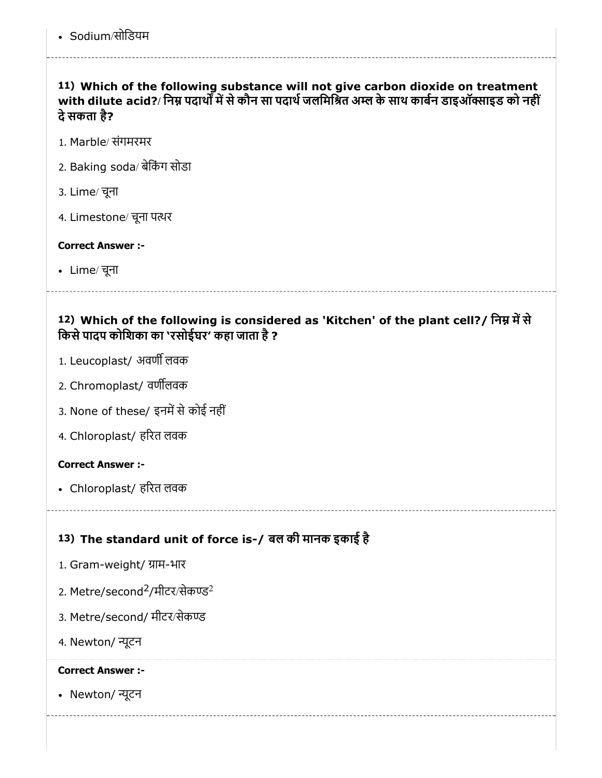11) Which of the following substance will not give carbon dioxide on treatment with dilute acid?/ निम्न पदार्थों में से कौन सा पदार्थ जलमिश्रित अम्ल के साथ कार्बन डाइऑक्साइड को नहीं देसकता है?

- 1. Marble/ संगमरमर
- 2. Baking soda/ बेकिंग सोडा
- 3. Lime/ चूना
- 4. Limestone/ चूना पर

### Correct Answer :-

Lime/ चूना

# 12) Which of the following is considered as 'Kitchen' of the plant cell?/ निम्न में से किसे पादप कोशिका का 'रसोईघर' कहा जाता है ?

- 1. Leucoplast/ अवर्णी लवक
- 2. Chromoplast/ वणलवक
- 3. None of these/ इनमें से कोई नहीं
- 4. Chloroplast/ हरत लवक

## Correct Answer :-

Chloroplast/ हरत लवक

# 13) The standard unit of force is-/ बल की मानक इकाई है

- 1. Gram-weight/ ाम-भार
- 2. Metre/second<sup>2</sup>/मीटर/सेकण्ड<sup>2</sup>
- 3. Metre/second/ मीटर/सेक
- 4. Newton/ ूटन

#### Correct Answer :-

• Newton/ न्यूटन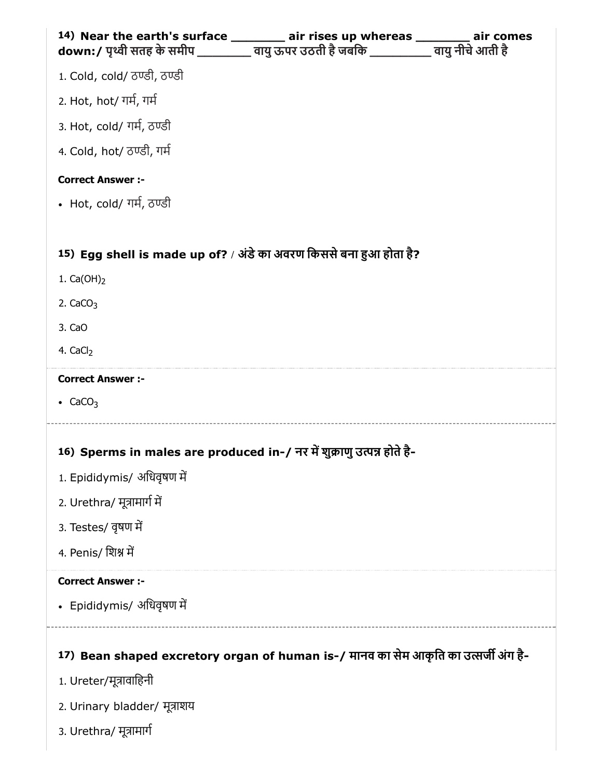| 14) Near the earth's surface ________ air rises up whereas _______ air comes<br>down:/ पृथ्वी सतह के समीप _________ वायु ऊपर उठती है जबकि __________ वायु नीचे आती है |  |
|-----------------------------------------------------------------------------------------------------------------------------------------------------------------------|--|
| 1. Cold, cold/ ਨਾਫੀ, ਨਾਫੀ                                                                                                                                             |  |
| 2. Hot, hot/ गर्म, गर्म                                                                                                                                               |  |
| 3. Hot, cold/ गर्म, ठण्डी                                                                                                                                             |  |
| 4. Cold, hot/ ठण्डी, गर्म                                                                                                                                             |  |
| <b>Correct Answer :-</b>                                                                                                                                              |  |
| • Hot, cold/ गर्म, ਠਾਫੀ                                                                                                                                               |  |
|                                                                                                                                                                       |  |
| 15) Egg shell is made up of? / अंडे का अवरण किससे बना हुआ होता है?                                                                                                    |  |
| 1. $Ca(OH)_2$                                                                                                                                                         |  |
| 2. $CaCO3$                                                                                                                                                            |  |
| 3. CaO                                                                                                                                                                |  |
| 4. CaCl <sub>2</sub>                                                                                                                                                  |  |
| <b>Correct Answer :-</b>                                                                                                                                              |  |
| • $CaCO3$                                                                                                                                                             |  |
|                                                                                                                                                                       |  |
| 16) Sperms in males are produced in-/ नर में शुक्राणु उत्पन्न होते है-<br>1. Epididymis/ अधिवृषण में                                                                  |  |
| 2. Urethra/ मूत्रामार्ग में                                                                                                                                           |  |
| 3. Testes/ वृषण में                                                                                                                                                   |  |
| 4. Penis/ शिश्न में                                                                                                                                                   |  |
|                                                                                                                                                                       |  |
| <b>Correct Answer :-</b><br>• Epididymis/ अधिवृषण में                                                                                                                 |  |
|                                                                                                                                                                       |  |
| 17) Bean shaped excretory organ of human is-/ मानव का सेम आकृति का उत्सर्जी अंग है-                                                                                   |  |
| 1. Ureter/मूत्रावाहिनी                                                                                                                                                |  |
| 2. Urinary bladder/ मूत्राशय                                                                                                                                          |  |
| 3. Urethra/ मूत्रामार्ग                                                                                                                                               |  |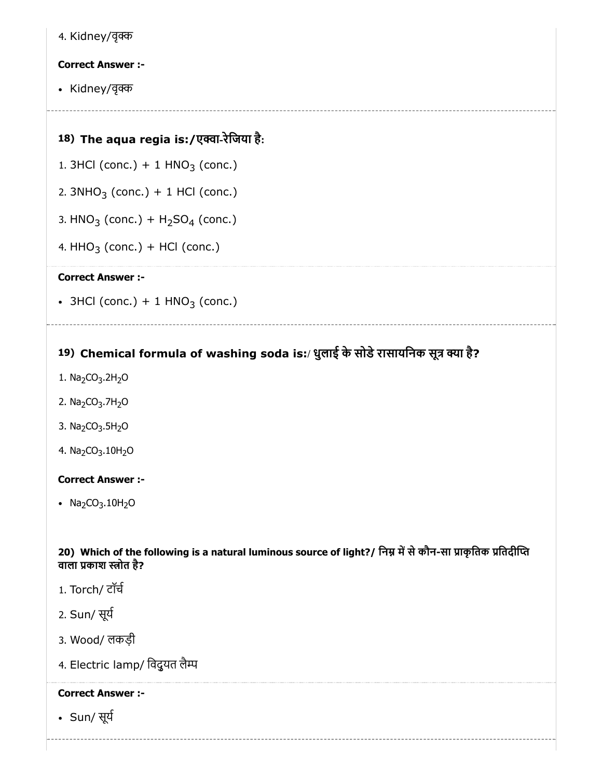4. Kidney/वृ

### Correct Answer :-

• Kidney/वृक्क

## 18) The aqua regia is:/एवा-रेिजया है:

- 1.  $3HCl$  (conc.) + 1  $HNO<sub>3</sub>$  (conc.)
- 2. 3NHO<sub>3</sub> (conc.) + 1 HCl (conc.)
- 3.  $HNO<sub>3</sub>$  (conc.) +  $H<sub>2</sub>SO<sub>4</sub>$  (conc.)
- 4. HHO<sub>3</sub> (conc.) + HCl (conc.)

#### Correct Answer :-

 $3HCl$  (conc.) + 1  $HNO<sub>3</sub>$  (conc.)

# 19) Chemical formula of washing soda is:/ धुलाई के सोडे रासायनिक सूत्र क्या है?

- 1. Na<sub>2</sub>CO<sub>3</sub>.2H<sub>2</sub>O
- 2. Na<sub>2</sub>CO<sub>3</sub>.7H<sub>2</sub>O
- 3. Na<sub>2</sub>CO<sub>3</sub>.5H<sub>2</sub>O
- 4. Na<sub>2</sub>CO<sub>3</sub>.10H<sub>2</sub>O

#### Correct Answer :-

•  $Na<sub>2</sub>CO<sub>3</sub> .10H<sub>2</sub>O$ 

20) Which of the following is a natural luminous source of light?/ निम्न में से कौन-सा प्राकृतिक प्रतिदीप्ति वाला प्रकाश स्त्रोत है?

- 1. Torch/ टॉच
- 2. Sun/ सूय
- 3. Wood/ लकड़ी
- 4. Electric lamp/ विदुयत लैम्प

#### Correct Answer :-

Sun/ सूय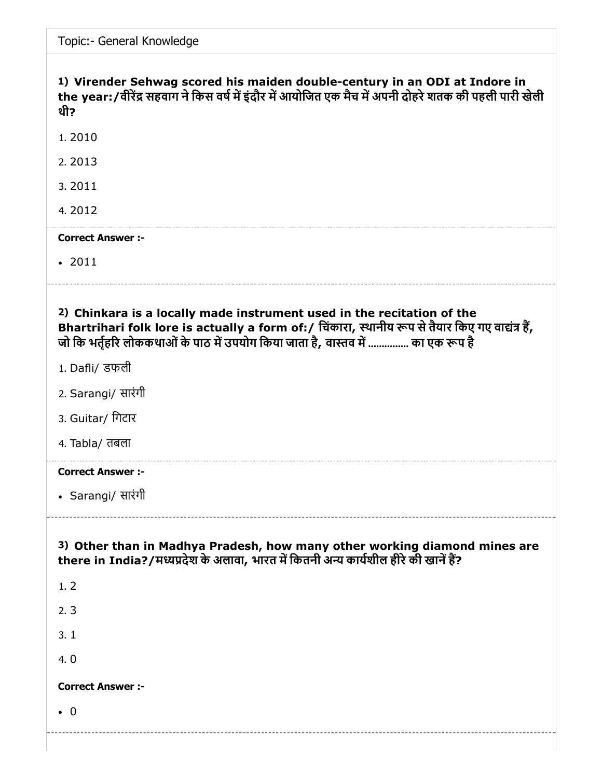Topic:- General Knowledge

# 1) Virender Sehwag scored his maiden double-century in an ODI at Indore in the year:/वीरेंद्र सहवाग ने किस वर्ष में इंदौर में आयोजित एक मैच में अपनी दोहरे शतक की पहली पारी खेली थी? 1. 2010 2. 2013

3. 2011

4. 2012

#### Correct Answer :-

 $-2011$ 

2) Chinkara is a locally made instrument used in the recitation of the Bhartrihari folk lore is actually a form of:/ चिंकारा, स्थानीय रूप से तैयार किए गए वाद्यंत्र हैं, जो कि भर्तहरि लोककथाओं के पाठ में उपयोग किया जाता है, वास्तव में ............... का एक रूप है

- 1. Dafli/ डफली
- 2. Sarangi/ सारंगी
- 3. Guitar/ िगटार
- 4. Tabla/ तबला

#### Correct Answer :-

Sarangi/ सारंगी

3) Other than in Madhya Pradesh, how many other working diamond mines are there in India?/मध्यप्रदेश के अलावा, भारत में कितनी अन्य कार्यशील हीरे की खानें हैं?

1. 2 2. 3 3. 1 4. 0 Correct Answer :-

0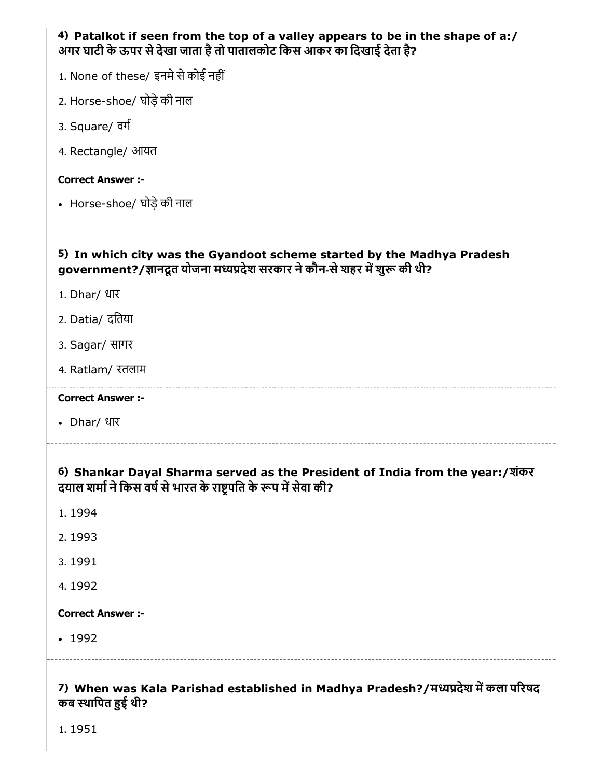|                                                                       | 4) Patalkot if seen from the top of a valley appears to be in the shape of a:/ |  |
|-----------------------------------------------------------------------|--------------------------------------------------------------------------------|--|
| अगर घाटी के ऊपर से देखा जाता है तो पातालकोट किस आकर का दिखाई देता है? |                                                                                |  |

- 1. None of these/ इनमे से कोई नहीं
- 2. Horse-shoe/ घोड़ेकी नाल
- 3. Square/ वग
- 4. Rectangle/ आयत

• Horse-shoe/ घोड़े की नाल

## 5) In which city was the Gyandoot scheme started by the Madhya Pradesh government?/ज्ञानदूत योजना मध्यप्रदेश सरकार ने कौन-से शहर में शुरू की थी?

- 1. Dhar/ धार
- 2. Datia/ दितया
- 3. Sagar/ सागर
- 4. Ratlam/ रतलाम

#### Correct Answer :-

Dhar/ धार

# 6) Shankar Dayal Sharma served as the President of India from the year:/शंकर दयाल शर्मा ने किस वर्ष से भारत के राष्ट्रपति के रूप में सेवा की?

- 1. 1994
- 2. 1993
- 3. 1991
- 4. 1992

#### Correct Answer :-

• 1992

## 7) When was Kala Parishad established in Madhya Pradesh?/मध्यप्रदेश में कला परिषद कब स्थापित हुई थी?

1. 1951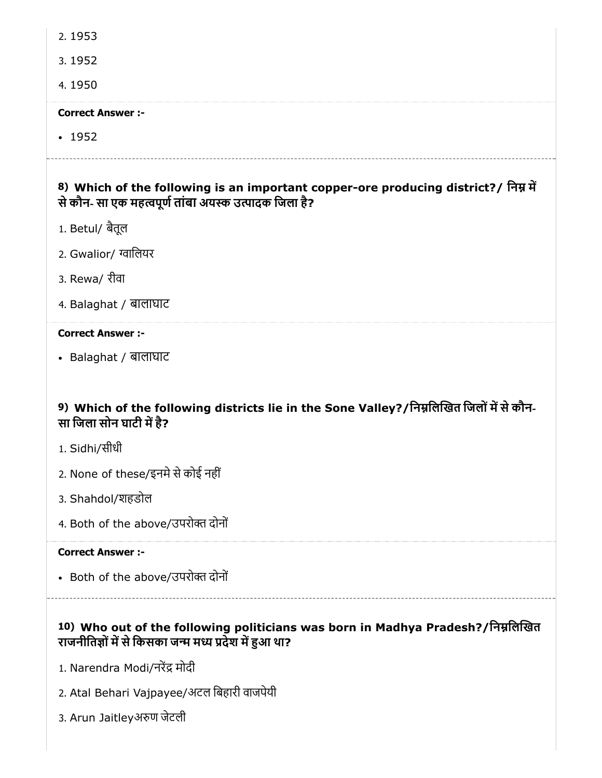2. 1953

3. 1952

4. 1950

#### Correct Answer :-

 $-1952$ 

# 8) Which of the following is an important copper-ore producing district?/ निम्न में से कौन- सा एक महत्वपूर्ण तांबा अयस्क उत्पादक जिला है?

- 1. Betul/ बैतूल
- 2. Gwalior/ ग्वालियर
- 3. Rewa/ रीवा
- 4. Balaghat / बालाघाट

### Correct Answer :-

Balaghat / बालाघाट

# 9) Which of the following districts lie in the Sone Valley?/निम्नलिखित जिलों में से कौन-सा जिला सोन घाटी में है?

- 1. Sidhi/सीधी
- 2. None of these/इनमे से कोई नहीं
- 3. Shahdol/शहडोल
- 4. Both of the above/उपरोक्त दोनों

#### Correct Answer :-

• Both of the above/उपरोक्त दोनों

# 10) Who out of the following politicians was born in Madhya Pradesh?/निम्नलिखित राजनीतिज्ञों में से किसका जन्म मध्य प्रदेश में हुआ था?

- 1. Narendra Modi/नरेंद्र मोदी
- 2. Atal Behari Vajpayee/अटल िबहारी वाजपेयी
- 3. Arun Jaitleyअण जेटली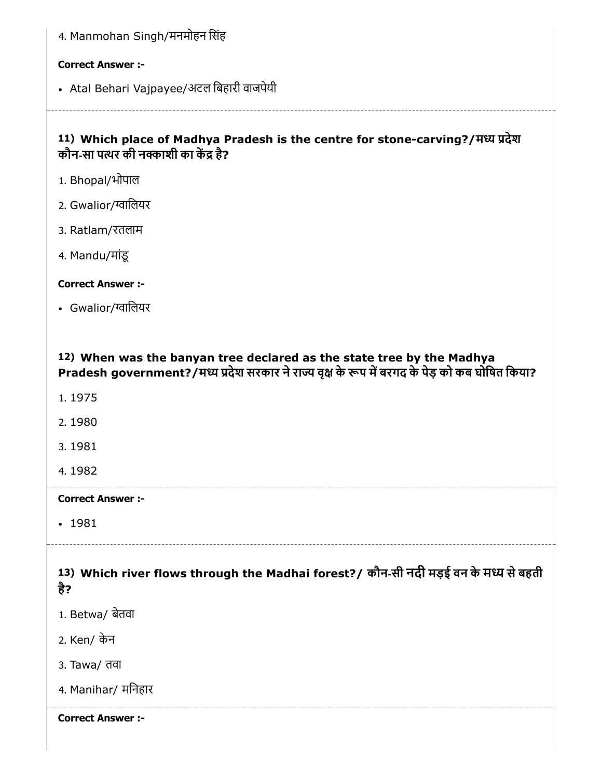| 4. Manmohan Singh/मनमोहन सिंह                                                                                                                                                     |
|-----------------------------------------------------------------------------------------------------------------------------------------------------------------------------------|
| <b>Correct Answer :-</b>                                                                                                                                                          |
| • Atal Behari Vajpayee/अटल बिहारी वाजपेयी                                                                                                                                         |
| 11) Which place of Madhya Pradesh is the centre for stone-carving?/मध्य प्रदेश<br>कौन-सा पत्थर की नक्काशी का केंद्र है?                                                           |
| 1. Bhopal/भोपाल                                                                                                                                                                   |
| 2. Gwalior/ग्वालियर                                                                                                                                                               |
| 3. Ratlam/रतलाम                                                                                                                                                                   |
| 4. Mandu/मांडू                                                                                                                                                                    |
| <b>Correct Answer:-</b>                                                                                                                                                           |
| • Gwalior/ग्वालियर                                                                                                                                                                |
| 12) When was the banyan tree declared as the state tree by the Madhya<br>Pradesh government?/मध्य प्रदेश सरकार ने राज्य वृक्ष के रूप में बरगद के पेड़ को कब घोषित किया?<br>1.1975 |
| 2.1980                                                                                                                                                                            |
| 3.1981                                                                                                                                                                            |
| 4.1982                                                                                                                                                                            |
| <b>Correct Answer :-</b>                                                                                                                                                          |
| $-1981$                                                                                                                                                                           |
| 13) Which river flows through the Madhai forest?/ कौन-सी नदी मड़ई वन के मध्य से बहती<br>है?                                                                                       |
| 1. Betwa/ बेतवा                                                                                                                                                                   |
| 2. Ken/ केन                                                                                                                                                                       |
|                                                                                                                                                                                   |

4. Manihar/ मिनहार

Correct Answer :-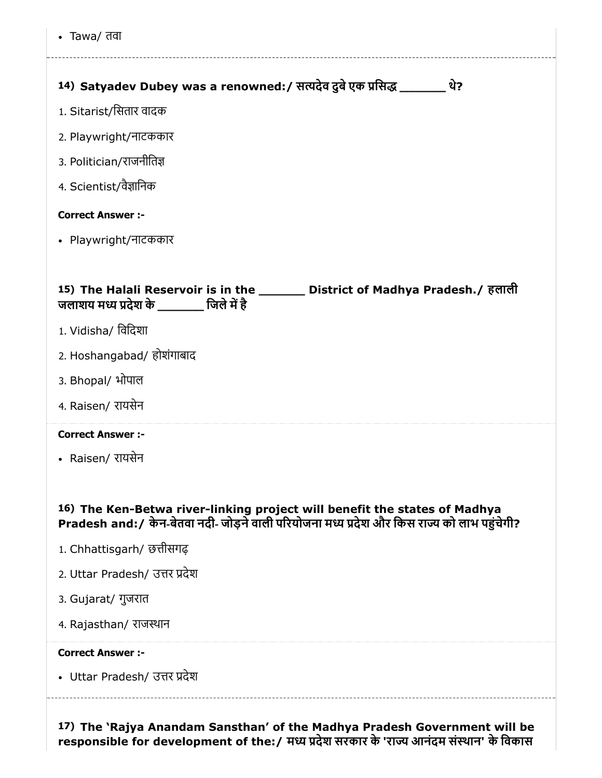Tawa/ तवा

| थे?<br>14) Satyadev Dubey was a renowned:/ सत्यदेव दुबे एक प्रसिद्ध _______                                                                                               |
|---------------------------------------------------------------------------------------------------------------------------------------------------------------------------|
| 1. Sitarist/सितार वादक                                                                                                                                                    |
| 2. Playwright/नाटककार                                                                                                                                                     |
| 3. Politician/राजनीतिज्ञ                                                                                                                                                  |
| 4. Scientist/वैज्ञानिक                                                                                                                                                    |
| <b>Correct Answer :-</b>                                                                                                                                                  |
| • Playwright/नाटककार                                                                                                                                                      |
|                                                                                                                                                                           |
| 15) The Halali Reservoir is in the ________ District of Madhya Pradesh./ हलाली<br>जलाशय मध्य प्रदेश के _________ जिले में है                                              |
| 1. Vidisha/ विदिशा                                                                                                                                                        |
| 2. Hoshangabad/ होशंगाबाद                                                                                                                                                 |
| 3. Bhopal/ भोपाल                                                                                                                                                          |
| 4. Raisen/ रायसेन                                                                                                                                                         |
| <b>Correct Answer :-</b>                                                                                                                                                  |
| • Raisen/ रायसेन                                                                                                                                                          |
|                                                                                                                                                                           |
| 16) The Ken-Betwa river-linking project will benefit the states of Madhya<br>Pradesh and: / केन-बेतवा नदी- जोड़ने वाली परियोजना मध्य प्रदेश और किस राज्य को लाभ पहुंचेगी? |
| 1. Chhattisgarh/ छत्तीसगढ़                                                                                                                                                |
| 2. Uttar Pradesh/ उत्तर प्रदेश                                                                                                                                            |
| 3. Gujarat/ गुजरात                                                                                                                                                        |
| 4. Rajasthan/ राजस्थान                                                                                                                                                    |
| <b>Correct Answer :-</b>                                                                                                                                                  |
| • Uttar Pradesh/ उत्तर प्रदेश                                                                                                                                             |
|                                                                                                                                                                           |

17) The 'Rajya Anandam Sansthan' of the Madhya Pradesh Government will be responsible for development of the:/ मध्य प्रदेश सरकार के 'राज्य आनंदम संस्थान' के विकास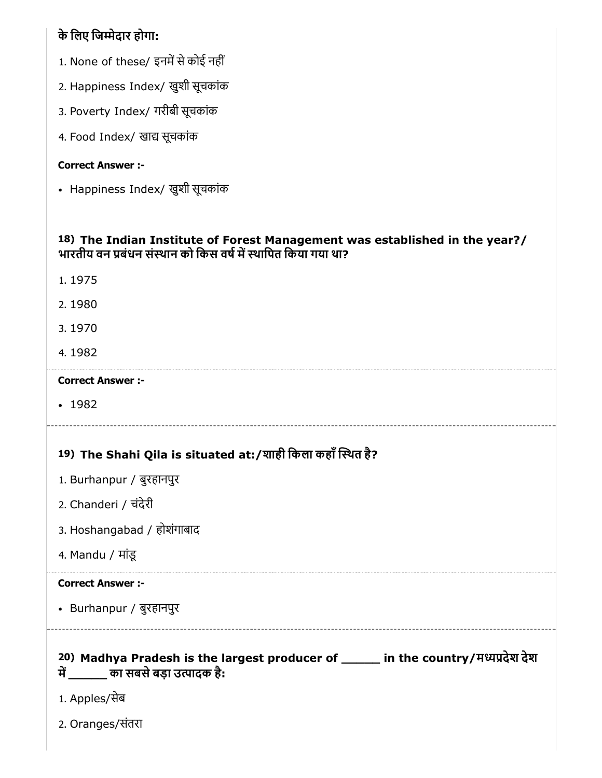# के िलए िजेदार होगा:

- 1. None of these/ इनमें से कोई नहीं
- 2. Happiness Index/ खुशी सूचकांक
- 3. Poverty Index/ गरीबी सूचकांक
- 4. Food Index/ खाद्य सूचकांक

## Correct Answer :-

Happiness Index/ खुशी सूचकांक

## 18) The Indian Institute of Forest Management was established in the year?/ भारतीय वन बंधन संथान को िकस वषमथािपत िकया गया था?

- 1. 1975
- 2. 1980
- 3. 1970
- 4. 1982

## Correct Answer :-

• 1982

# 19) The Shahi Qila is situated at:/शाही िकला कहाँथत है?

- 1. Burhanpur / बुरहानपुर
- 2. Chanderi / चंदेरी
- 3. Hoshangabad / होशंगाबाद
- 4. Mandu / मांडू

## Correct Answer :-

Burhanpur / बुरहानपुर

- 20) Madhya Pradesh is the largest producer of \_\_\_\_\_ in the country/मदेश देश में  $\qquad \qquad$  का सबसे बड़ा उत्पादक है:
- 1. Apples/सेब
- 2. Oranges/संतरा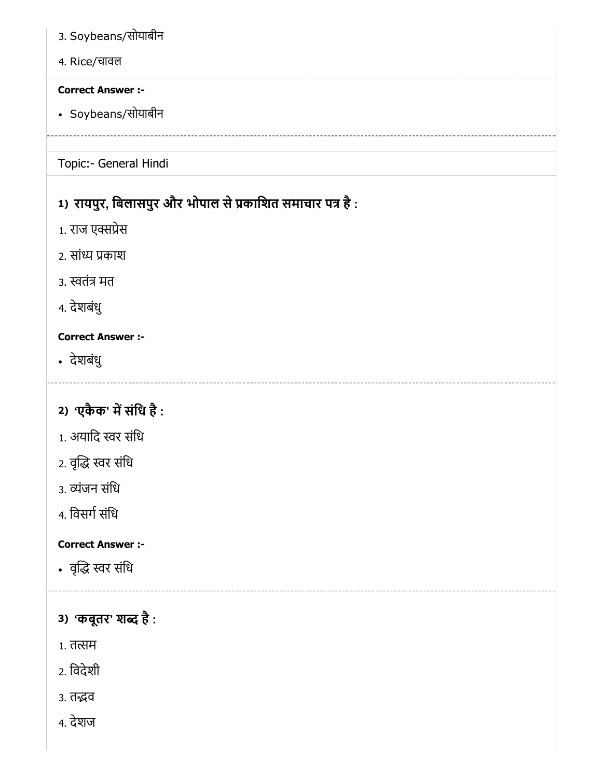- 3. Soybeans/सोयाबीन
- 4. Rice/चावल

Soybeans/सोयाबीन

# Topic:- General Hindi

# 1) रायपुर, बिलासपुर और भोपाल से प्रकाशित समाचार पत्र है :

- 1. राज एक्सप्रेस
- 2. सांध्य प्रकाश
- 3. स्वतंत्र मत
- 4. देशबंधु

# Correct Answer :-

- देशबंधु
- 2) 'एकैक' में संधि है :
- 1. अयादि स्वर संधि
- 2. वृद्धि स्वर संधि
- 3. व्यंजन संधि
- 4. विसर्ग संधि

# Correct Answer :-

- वृद्धि स्वर संधि
- 3) 'कबूतर' शब्द है :
- 1. तत्सम
- 2. िवदेशी
- 3. तद्भव
- 4. देशज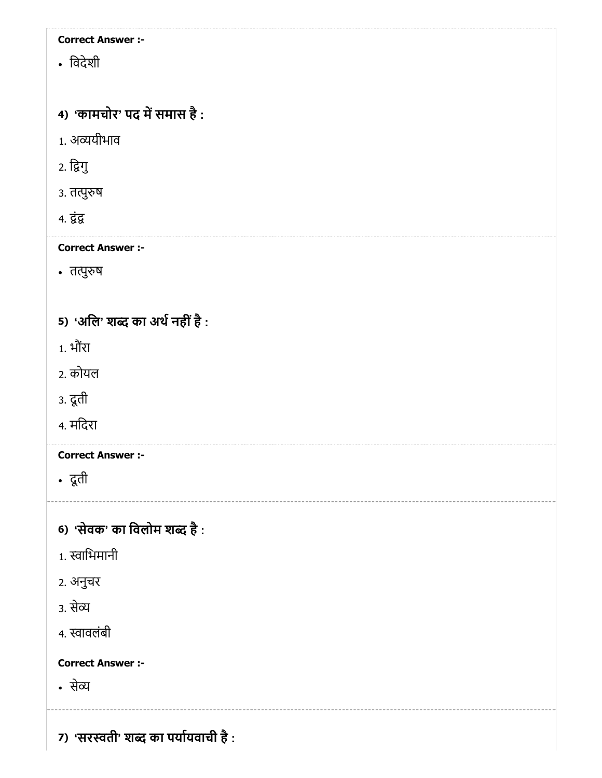िवदेशी

# 4) *'*कामचोर' पद में समास है :

- 1. अयीभाव
- 2. िगु
- ३. तत्पुरुष
- 4. द्वंद्व

## Correct Answer :-

• तत्पुरुष

# 5) 'अलि' शब्द का अर्थ नहीं है :

- 1. भौरं ा
- 2. कोयल
- 3. दूती
- 4. मिदरा

## Correct Answer :-

दूती

# 6) *'*सेवक' का विलोम शब्द है :

- 1. स्वाभिमानी
- 2. अनुचर
- 3. से
- 4. स्वावलंबी

#### Correct Answer :-

से

7) 'सरस्वती' शब्द का पर्यायवाची है :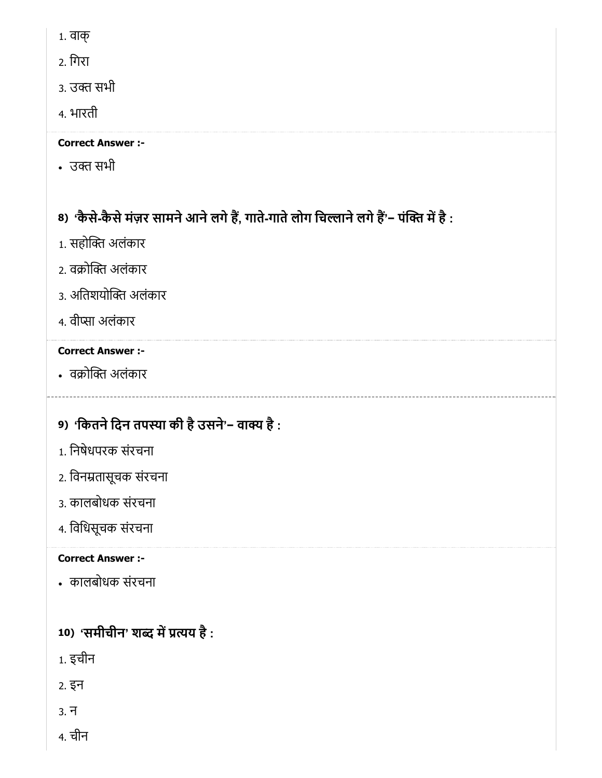- 1. वाक्
- 2. िगरा
- 3. उक्त सभी
- 4. भारती

• उक्त सभी

# 8) 'कैसे-कैसे मज़र सामने आने लगे है, गाते-गाते लोग चिल्लाने लगे है'− पक्ति मे है :

- 1. सहोक्ति अलंकार
- 2. वक्रोक्ति अलंकार
- 3. अतिशयोक्ति अलंकार
- 4. वीप्सा अलंकार

# Correct Answer :-

• वक्रोक्ति अलंकार

# 9) 'कितने दिन तपस्या की है उसने'− वाक्य है :

- 1. िनषेधपरक संरचना
- 2. िवनतासूचक संरचना
- 3. कालबोधक संरचना
- 4. िविधसूचक संरचना

# Correct Answer :-

कालबोधक संरचना

# 10) 'समीचीन' शब्द में प्रत्यय है :

- 1. इचीन
- 2. इन
- 3. न
- 4. चीन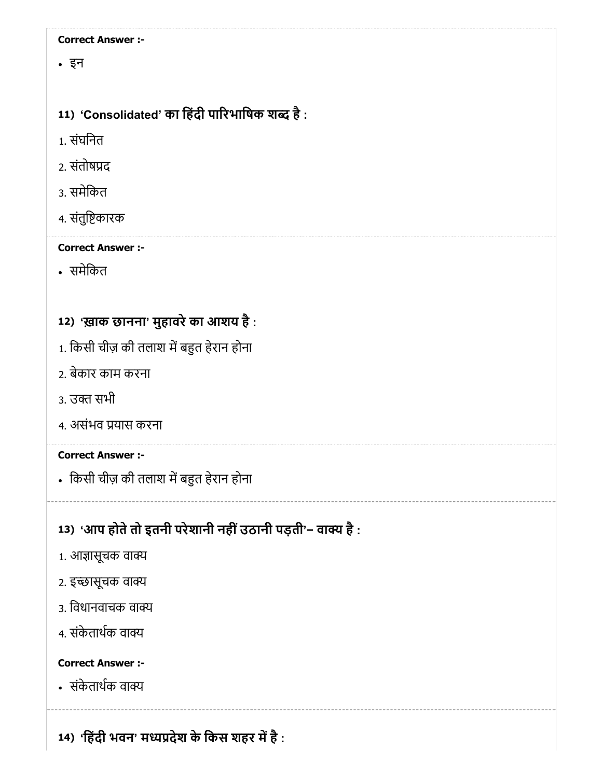इन

# 11) 'Consolidated' का हिंदी पारिभाषिक शब्द है :

1. संघिनत

- 2. संतोषद
- 3. समेिकत
- 4. संतुिकारक

# Correct Answer :-

समेिकत

# 12) 'ख़ाक छानना' मुहावरेका आशय है :

- 1. किसी चीज़ की तलाश में बहुत हेरान होना
- 2. बेकार काम करना
- 3. उक्त सभी
- 4. असंभव यास करना

# Correct Answer :-

• किसी चीज़ की तलाश में बहुत हेरान होना

# 13) 'आप होते तो इतनी परेशानी नहीं उठानी पड़ती'− वाक्य है :

- 1. आज्ञासूचक वाक्य
- 2. इच्छासूचक वाक्य
- 3. विधानवाचक वाक्य
- 4. संकेताथक वा

# Correct Answer :-

संकेताथक वा

14) 'हिंदी भवन' मध्यप्रदेश के किस शहर में है :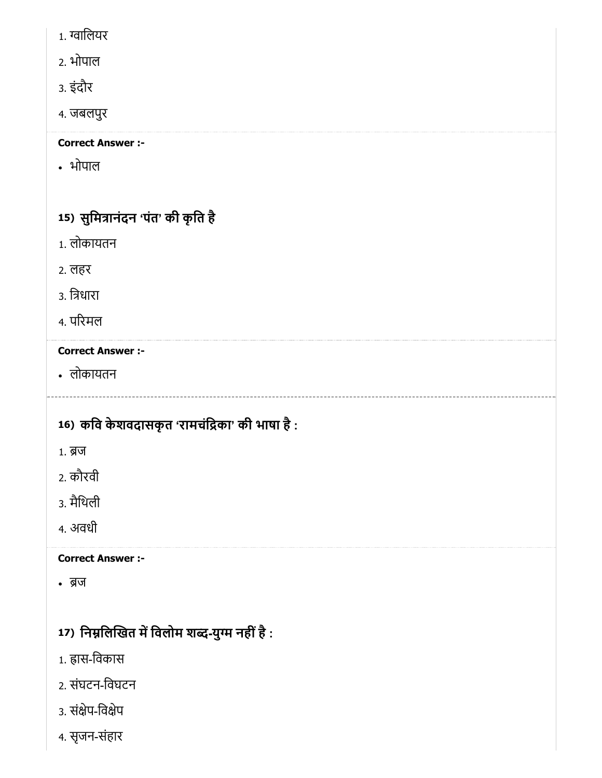- 1. ग्वालियर
- 2. भोपाल
- 3. इंदौर
- 4. जबलपुर

भोपाल

# 15) सुर्मित्रानदन 'पत' की कृति है

- 1. लोकायतन
- 2. लहर
- 3. िधारा
- 4. परमल

# Correct Answer :-

लोकायतन

# 16) कवि केशवदासकृत 'रामचंद्रिका' की भाषा है :

- 1. ब्र**ज**
- 2. कौरवी
- 3. मैिथली
- 4. अवधी

# Correct Answer :-

• ब्रज

# 17) निर्म्नालेखित में विलोम शब्द-युग्म नहीं है :

- 1. ह्रास-विकास
- 2. संघटन-िवघटन
- 3. संक्षेप-विक्षेप
- 4. सृजन-संहार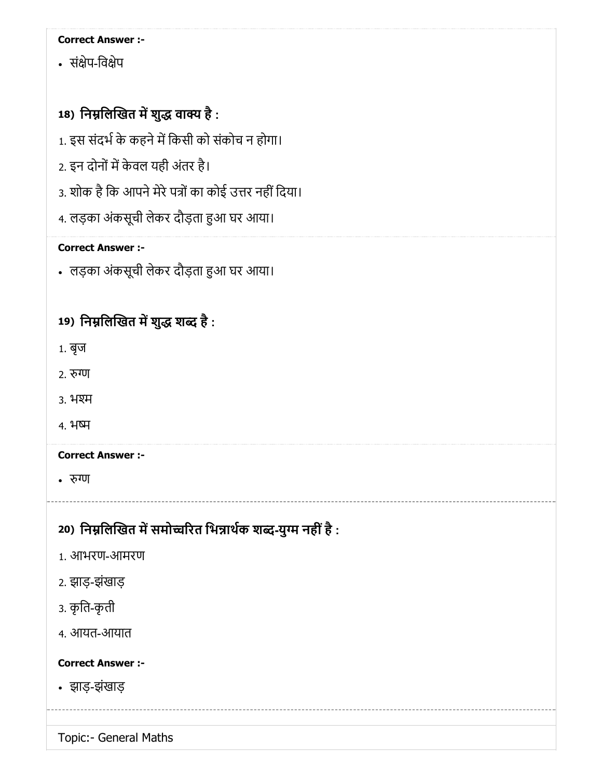• संक्षेप-विक्षेप

# 18) निम्नलिखित में शुद्ध वाक्य है :

- 1. इस संदर्भ के कहने में किसी को संकोच न होगा।
- 2. इन दोनों में केवल यही अंतर है।
- 3. शोक है कि आपने मेरे पत्रों का कोई उत्तर नहीं दिया।
- 4. लड़का अंकसूची लेकर दौड़ता हुआ घर आया।

## Correct Answer :-

• लड़का अंकसूची लेकर दौड़ता हुआ घर आया।

# 19) निम्नलिखित में शुद्ध शब्द है :

- 1. बृज
- 2. रुग्ण
- 3. भ
- 4. भ

## Correct Answer :-

• रुग्ण

# 20) निम्नलिखित में समोच्चरित भिन्नार्थक शब्द-युग्म नहीं है :

- 1. आभरण-आमरण
- 2. झाड़-झंखाड़
- 3. कृित-कृती
- 4. आयत-आयात

## Correct Answer :-

झाड़-झंखाड़

Topic:- General Maths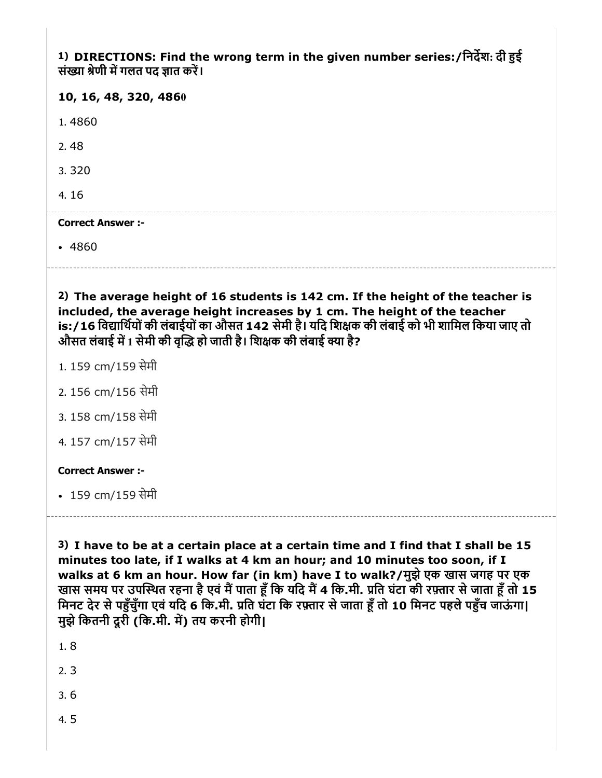1) DIRECTIONS: Find the wrong term in the given number series:/िनदश: दी ई संख्या श्रेणी में गलत पद ज्ञात करें।

|  |  |  |  |  | 10, 16, 48, 320, 4860 |
|--|--|--|--|--|-----------------------|
|--|--|--|--|--|-----------------------|

1. 4860

2. 48

3. 320

4. 16

#### Correct Answer :-

• 4860

2) The average height of 16 students is 142 cm. If the height of the teacher is included, the average height increases by 1 cm. The height of the teacher is:/16 िवािथयोंकी लंबाईयोंका औसत 142 सेमी है। यिद िशक की लंबाई को भी शािमल िकया जाए तो औसत लंबाई में 1 सेमी की वृद्धि हो जाती है। शिक्षक की लंबाई क्या है?

1. 159 cm/159 सेमी

- 2. 156 cm/156 सेमी
- 3. 158 cm/158 सेमी
- 4. 157 cm/157 सेमी

#### Correct Answer :-

• 159 cm/159 सेमी

3) I have to be at a certain place at a certain time and I find that I shall be 15 minutes too late, if I walks at 4 km an hour; and 10 minutes too soon, if I walks at 6 km an hour. How far (in km) have I to walk?/मुझे एक खास जगह पर एक खास समय पर उपस्थित रहना है एवं मैं पाता हूँ कि यदि मैं 4 कि.मी. प्रति घंटा की रफ़्तार से जाता हूँ तो 15 मिनट देर से पहुँचुँगा एवं यदि 6 कि.मी. प्रति घंटा कि रफ़्तार से जाता हूँ तो 10 मिनट पहले पहुँच जाऊंगा। मुझेिकतनी दूरी (िक.मी. म) तय करनी होगी|

1. 8

2. 3

3. 6

4. 5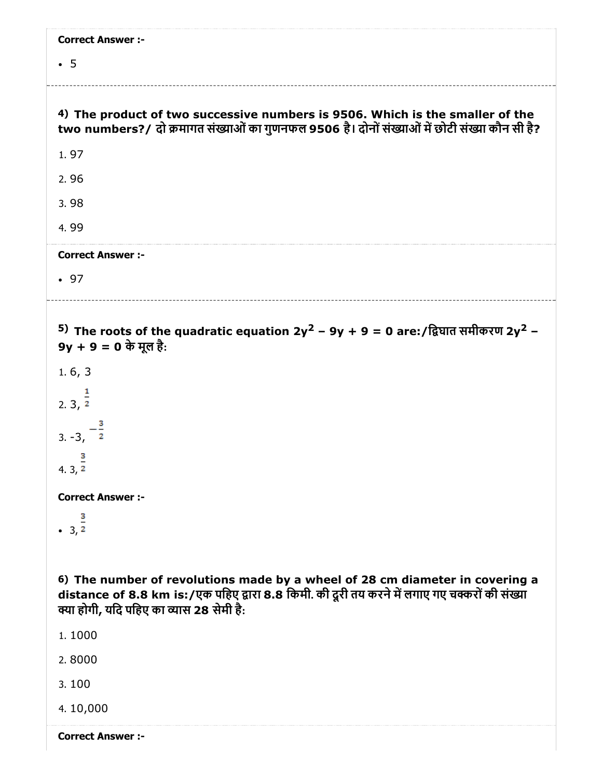| <b>Correct Answer :-</b>                                                                                                                                                                                                  |
|---------------------------------------------------------------------------------------------------------------------------------------------------------------------------------------------------------------------------|
| $\cdot$ 5                                                                                                                                                                                                                 |
|                                                                                                                                                                                                                           |
| 4) The product of two successive numbers is 9506. Which is the smaller of the<br>two numbers?/ दो क्रमागत संख्याओं का गुणनफल 9506 है। दोनों संख्याओं में छोटी संख्या कौन सी है?                                           |
| 1.97                                                                                                                                                                                                                      |
| 2.96                                                                                                                                                                                                                      |
| 3.98                                                                                                                                                                                                                      |
| 4.99                                                                                                                                                                                                                      |
| <b>Correct Answer :-</b>                                                                                                                                                                                                  |
| .97                                                                                                                                                                                                                       |
|                                                                                                                                                                                                                           |
| 5) The roots of the quadratic equation 2y <sup>2</sup> – 9y + 9 = 0 are:/द्विघात समीकरण 2y <sup>2</sup> –<br>9y + 9 = 0 के मूल है:                                                                                        |
| 1.6, 3                                                                                                                                                                                                                    |
| $2.3, \overline{2}$                                                                                                                                                                                                       |
| 3. $-3, -2$                                                                                                                                                                                                               |
| $4.\overline{3}, \frac{3}{2}$                                                                                                                                                                                             |
| <b>Correct Answer :-</b>                                                                                                                                                                                                  |
| $\frac{2}{3}$                                                                                                                                                                                                             |
|                                                                                                                                                                                                                           |
| 6) The number of revolutions made by a wheel of 28 cm diameter in covering a<br>distance of 8.8 km is:/एक पहिए द्वारा 8.8 किमी. की दूरी तय करने में लगाए गए चक्करों की संख्या<br>क्या होगी, यदि पहिए का व्यास 28 सेमी है: |
| 1.1000                                                                                                                                                                                                                    |
| 2.8000                                                                                                                                                                                                                    |
| 3.100                                                                                                                                                                                                                     |
| 4.10,000                                                                                                                                                                                                                  |
| <b>Correct Answer :-</b>                                                                                                                                                                                                  |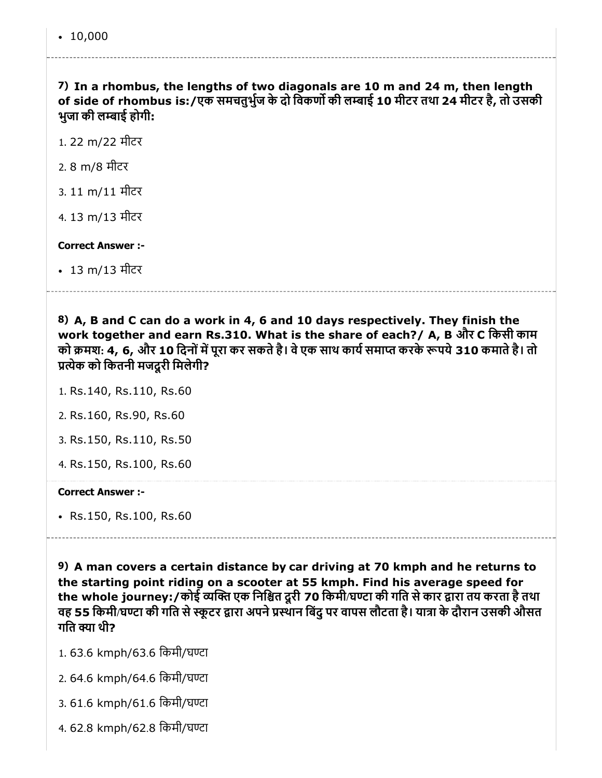7) In a rhombus, the lengths of two diagonals are 10 m and 24 m, then length of side of rhombus is:/एक समचतुर्भुज के दो विकर्णो की लम्बाई 10 मीटर तथा 24 मीटर है, तो उसकी भुजा की लाई होगी:

1. 22 m/22 मीटर

- 2. 8 m/8 मीटर
- 3. 11 m/11 मीटर
- 4. 13 m/13 मीटर

#### Correct Answer :-

13 m/13 मीटर

8) A, B and C can do a work in 4, 6 and 10 days respectively. They finish the work together and earn Rs.310. What is the share of each?/ A, B और C िकसी काम को क्रमश: 4, 6, और 10 दिनों में पूरा कर सकते है। वे एक साथ कार्य समाप्त करके रूपये 310 कमाते है। तो प्रत्येक को कितनी मजदूरी मिलेगी?

1. Rs.140, Rs.110, Rs.60

- 2. Rs.160, Rs.90, Rs.60
- 3. Rs.150, Rs.110, Rs.50
- 4. Rs.150, Rs.100, Rs.60

#### Correct Answer :-

Rs.150, Rs.100, Rs.60

9) A man covers a certain distance by car driving at 70 kmph and he returns to the starting point riding on a scooter at 55 kmph. Find his average speed for the whole journey:/कोई व्यक्ति एक निश्चित दूरी 70 किमी/घण्टा की गति से कार द्वारा तय करता है तथा वह 55 किमी/घण्टा की गति से स्कूटर द्वारा अपने प्रस्थान बिंदु पर वापस लौटता है। यात्रा के दौरान उसकी औसत गति क्या थी?

- 1. 63.6 kmph/63.6 िकमी/घटा
- 2. 64.6 kmph/64.6 िकमी/घटा
- 3. 61.6 kmph/61.6 िकमी/घटा
- 4. 62.8 kmph/62.8 िकमी/घटा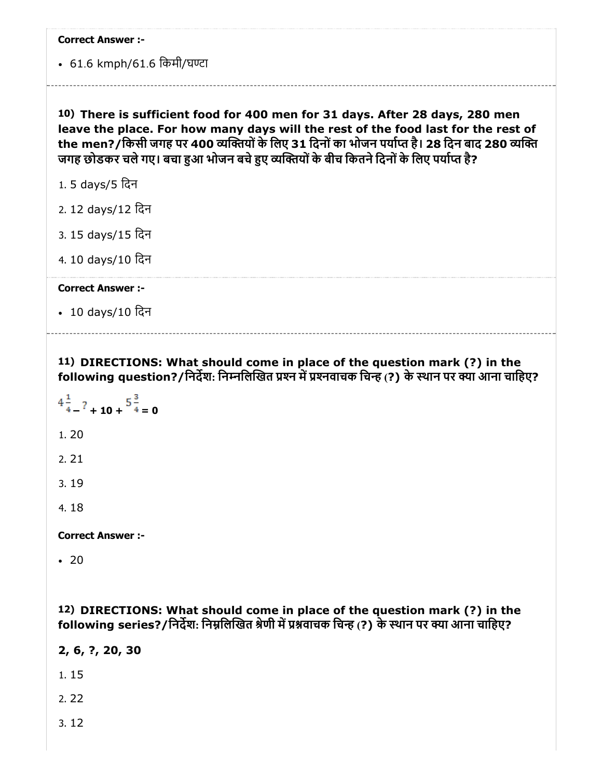• 61.6 kmph/61.6 किमी/घण्टा

10) There is sufficient food for 400 men for 31 days. After 28 days, 280 men leave the place. For how many days will the rest of the food last for the rest of the men?/किसी जगह पर 400 व्यक्तियों के लिए 31 दिनों का भोजन पर्याप्त है। 28 दिन बाद 280 व्यक्ति जगह छोडकर चले गए। बचा हुआ भोजन बचे हुए व्यक्तियों के बीच कितने दिनों के लिए पर्याप्त है?

- 1. 5 days/5 िदन
- 2. 12 days/12 िदन
- 3. 15 days/15 िदन
- 4. 10 days/10 िदन

#### Correct Answer :-

10 days/10 िदन

11) DIRECTIONS: What should come in place of the question mark (?) in the following question?/निर्देश: निम्नलिखित प्रश्न में प्रश्नवाचक चिन्ह (?) के स्थान पर क्या आना चाहिए?

$$
4\frac{1}{4} - ? + 10 + \frac{5\frac{3}{4}}{4} = 0
$$
  
1. 20  
2. 21  
3. 19  
4. 18

Correct Answer :-

 $-20$ 

12) DIRECTIONS: What should come in place of the question mark (?) in the following series?/निर्देश: निम्नलिखित श्रेणी में प्रश्नवाचक चिन्ह (?) के स्थान पर क्या आना चाहिए?

2, 6, ?, 20, 30

1. 15

2. 22

3. 12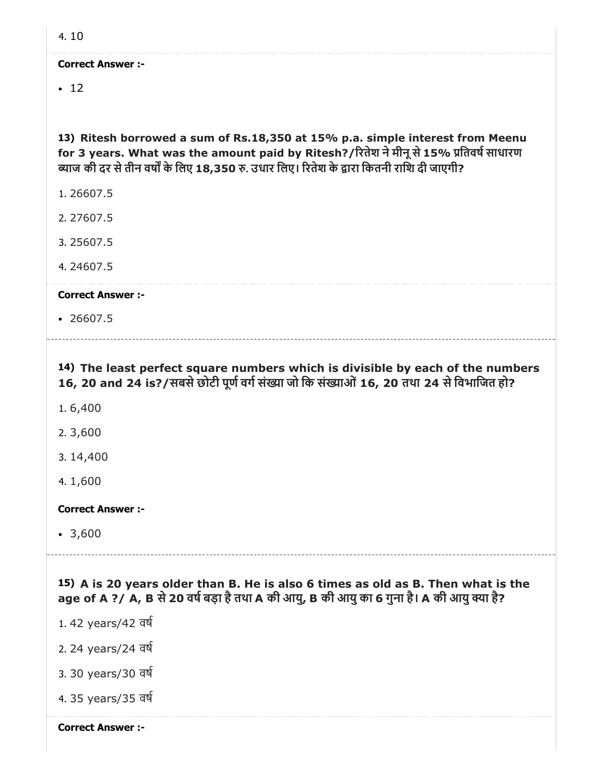$-12$ 

13) Ritesh borrowed a sum of Rs.18,350 at 15% p.a. simple interest from Meenu for 3 years. What was the amount paid by Ritesh?/रितेश ने मीनू से 15% प्रतिवर्ष साधारण ब्याज की दर से तीन वर्षों के लिए 18,350 रु. उधार लिए। रितेश के द्वारा कितनी राशि दी जाएगी?

- 1. 26607.5
- 2. 27607.5
- 3. 25607.5
- 4. 24607.5

#### Correct Answer :-

 $-26607.5$ 

14) The least perfect square numbers which is divisible by each of the numbers

16, 20 and 24 is?/सबसे छोटी पूर्ण वर्ग संख्या जो कि संख्याओं 16, 20 तथा 24 से विभाजित हो?

- 1. 6,400
- 2. 3,600
- 3. 14,400
- 4. 1,600

#### Correct Answer :-

3,600

15) A is 20 years older than B. He is also 6 times as old as B. Then what is the age of A ?/ A, B से 20 वर्ष बड़ा है तथा A की आयु, B की आयु का 6 गुना है। A की आयु क्या है?

- 1. 42 years/42 वष
- 2. 24 years/24 वष
- 3. 30 years/30 वष
- 4. 35 years/35 वष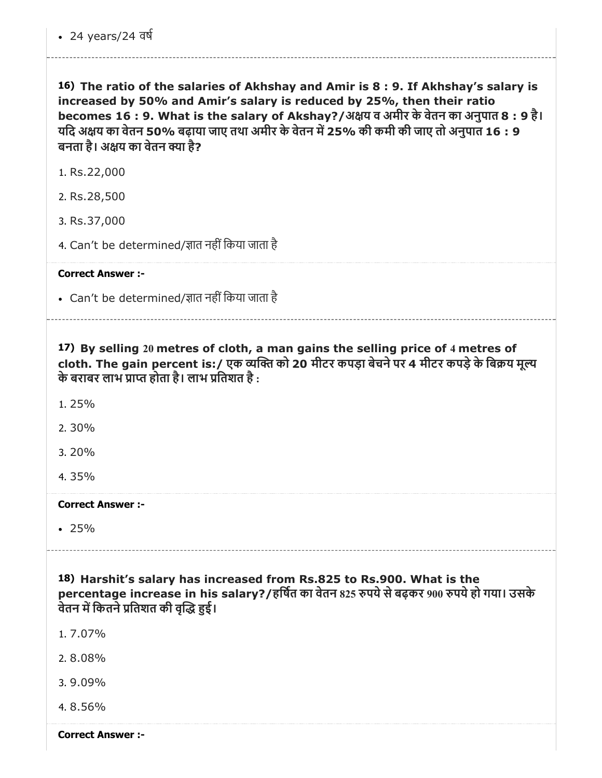16) The ratio of the salaries of Akhshay and Amir is 8 : 9. If Akhshay's salary is increased by 50% and Amir's salary is reduced by 25%, then their ratio becomes 16 : 9. What is the salary of Akshay?/अक्षय व अमीर के वेतन का अनुपात 8 : 9 है। यदि अक्षय का वेतन 50% बढ़ाया जाए तथा अमीर के वेतन में 25% की कमी की जाए तो अनुपात 16 : 9 बनता है। अक्षय का वेतन क्या है?

1. Rs.22,000

2. Rs.28,500

3. Rs.37,000

4. Can't be determined/ज्ञात नहीं किया जाता है

Correct Answer :-

• Can't be determined/ज्ञात नहीं किया जाता है

17) By selling 20 metres of cloth, a man gains the selling price of 4 metres of cloth. The gain percent is:/ एक व्यक्ति को 20 मीटर कपड़ा बेचने पर 4 मीटर कपड़े के बिक्रय मुल्य के बराबर लाभ प्राप्त होता है। लाभ प्रतिशत है :

1. 25%

2. 30%

3. 20%

4. 35%

Correct Answer :-

25%

18) Harshit's salary has increased from Rs.825 to Rs.900. What is the percentage increase in his salary?/हर्षित का वेतन 825 रुपये से बढ़कर 900 रुपये हो गया। उसके वेतन में कितने प्रतिशत की वृद्धि हुई।

1. 7.07%

2. 8.08%

3. 9.09%

4. 8.56%

Correct Answer :-